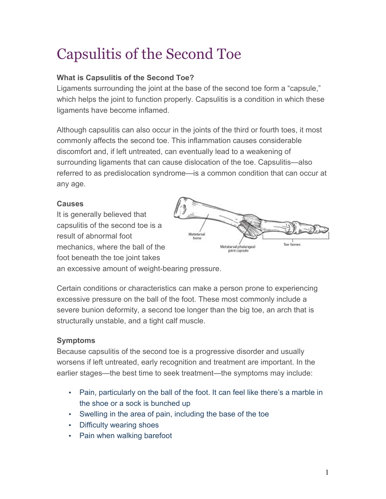# Capsulitis of the Second Toe

# **What is Capsulitis of the Second Toe?**

Ligaments surrounding the joint at the base of the second toe form a "capsule," which helps the joint to function properly. Capsulitis is a condition in which these ligaments have become inflamed.

Although capsulitis can also occur in the joints of the third or fourth toes, it most commonly affects the second toe. This inflammation causes considerable discomfort and, if left untreated, can eventually lead to a weakening of surrounding ligaments that can cause dislocation of the toe. Capsulitis—also referred to as predislocation syndrome—is a common condition that can occur at any age.

## **Causes**

It is generally believed that capsulitis of the second toe is a result of abnormal foot mechanics, where the ball of the foot beneath the toe joint takes



an excessive amount of weight-bearing pressure.

Certain conditions or characteristics can make a person prone to experiencing excessive pressure on the ball of the foot. These most commonly include a severe bunion deformity, a second toe longer than the big toe, an arch that is structurally unstable, and a tight calf muscle.

## **Symptoms**

Because capsulitis of the second toe is a progressive disorder and usually worsens if left untreated, early recognition and treatment are important. In the earlier stages—the best time to seek treatment—the symptoms may include:

- Pain, particularly on the ball of the foot. It can feel like there's a marble in the shoe or a sock is bunched up
- Swelling in the area of pain, including the base of the toe
- Difficulty wearing shoes
- Pain when walking barefoot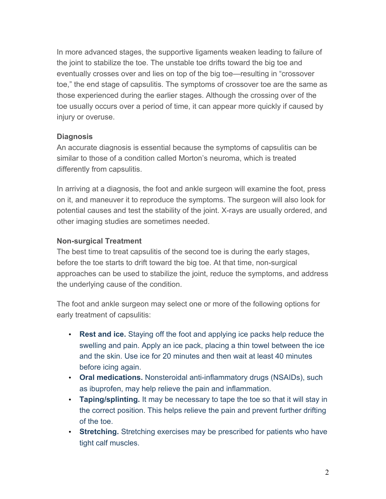In more advanced stages, the supportive ligaments weaken leading to failure of the joint to stabilize the toe. The unstable toe drifts toward the big toe and eventually crosses over and lies on top of the big toe—resulting in "crossover toe," the end stage of capsulitis. The symptoms of crossover toe are the same as those experienced during the earlier stages. Although the crossing over of the toe usually occurs over a period of time, it can appear more quickly if caused by injury or overuse.

#### **Diagnosis**

An accurate diagnosis is essential because the symptoms of capsulitis can be similar to those of a condition called Morton's neuroma, which is treated differently from capsulitis.

In arriving at a diagnosis, the foot and ankle surgeon will examine the foot, press on it, and maneuver it to reproduce the symptoms. The surgeon will also look for potential causes and test the stability of the joint. X-rays are usually ordered, and other imaging studies are sometimes needed.

## **Non-surgical Treatment**

The best time to treat capsulitis of the second toe is during the early stages, before the toe starts to drift toward the big toe. At that time, non-surgical approaches can be used to stabilize the joint, reduce the symptoms, and address the underlying cause of the condition.

The foot and ankle surgeon may select one or more of the following options for early treatment of capsulitis:

- **Rest and ice.** Staying off the foot and applying ice packs help reduce the swelling and pain. Apply an ice pack, placing a thin towel between the ice and the skin. Use ice for 20 minutes and then wait at least 40 minutes before icing again.
- **Oral medications.** Nonsteroidal anti-inflammatory drugs (NSAIDs), such as ibuprofen, may help relieve the pain and inflammation.
- **Taping/splinting.** It may be necessary to tape the toe so that it will stay in the correct position. This helps relieve the pain and prevent further drifting of the toe.
- **Stretching.** Stretching exercises may be prescribed for patients who have tight calf muscles.